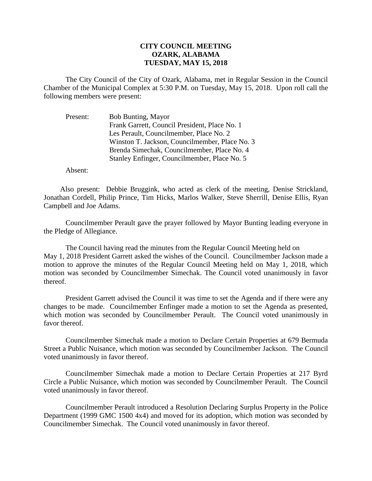## **CITY COUNCIL MEETING OZARK, ALABAMA TUESDAY, MAY 15, 2018**

The City Council of the City of Ozark, Alabama, met in Regular Session in the Council Chamber of the Municipal Complex at 5:30 P.M. on Tuesday, May 15, 2018. Upon roll call the following members were present:

Present: Bob Bunting, Mayor Frank Garrett, Council President, Place No. 1 Les Perault, Councilmember, Place No. 2 Winston T. Jackson, Councilmember, Place No. 3 Brenda Simechak, Councilmember, Place No. 4 Stanley Enfinger, Councilmember, Place No. 5

Absent:

Also present: Debbie Bruggink, who acted as clerk of the meeting, Denise Strickland, Jonathan Cordell, Philip Prince, Tim Hicks, Marlos Walker, Steve Sherrill, Denise Ellis, Ryan Campbell and Joe Adams.

Councilmember Perault gave the prayer followed by Mayor Bunting leading everyone in the Pledge of Allegiance.

The Council having read the minutes from the Regular Council Meeting held on May 1, 2018 President Garrett asked the wishes of the Council. Councilmember Jackson made a motion to approve the minutes of the Regular Council Meeting held on May 1, 2018, which motion was seconded by Councilmember Simechak. The Council voted unanimously in favor thereof.

President Garrett advised the Council it was time to set the Agenda and if there were any changes to be made. Councilmember Enfinger made a motion to set the Agenda as presented, which motion was seconded by Councilmember Perault. The Council voted unanimously in favor thereof.

Councilmember Simechak made a motion to Declare Certain Properties at 679 Bermuda Street a Public Nuisance, which motion was seconded by Councilmember Jackson. The Council voted unanimously in favor thereof.

Councilmember Simechak made a motion to Declare Certain Properties at 217 Byrd Circle a Public Nuisance, which motion was seconded by Councilmember Perault. The Council voted unanimously in favor thereof.

Councilmember Perault introduced a Resolution Declaring Surplus Property in the Police Department (1999 GMC 1500 4x4) and moved for its adoption, which motion was seconded by Councilmember Simechak. The Council voted unanimously in favor thereof.